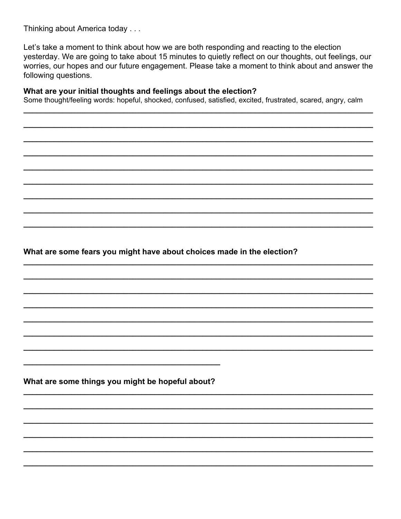Thinking about America today . . .

Let's take a moment to think about how we are both responding and reacting to the election yesterday. We are going to take about 15 minutes to quietly reflect on our thoughts, out feelings, our worries, our hopes and our future engagement. Please take a moment to think about and answer the following questions.

## What are your initial thoughts and feelings about the election?

Some thought/feeling words: hopeful, shocked, confused, satisfied, excited, frustrated, scared, angry, calm

What are some fears you might have about choices made in the election?

What are some things you might be hopeful about?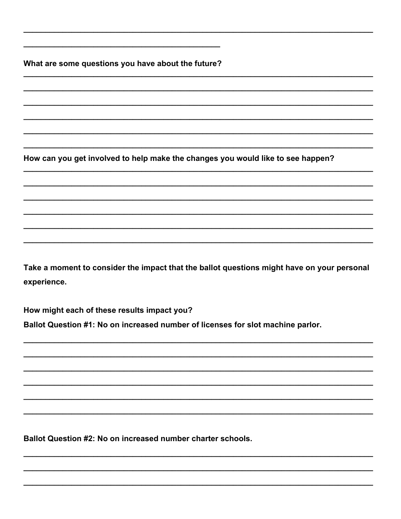What are some questions you have about the future?

How can you get involved to help make the changes you would like to see happen?

Take a moment to consider the impact that the ballot questions might have on your personal experience.

How might each of these results impact you?

Ballot Question #1: No on increased number of licenses for slot machine parlor.

Ballot Question #2: No on increased number charter schools.